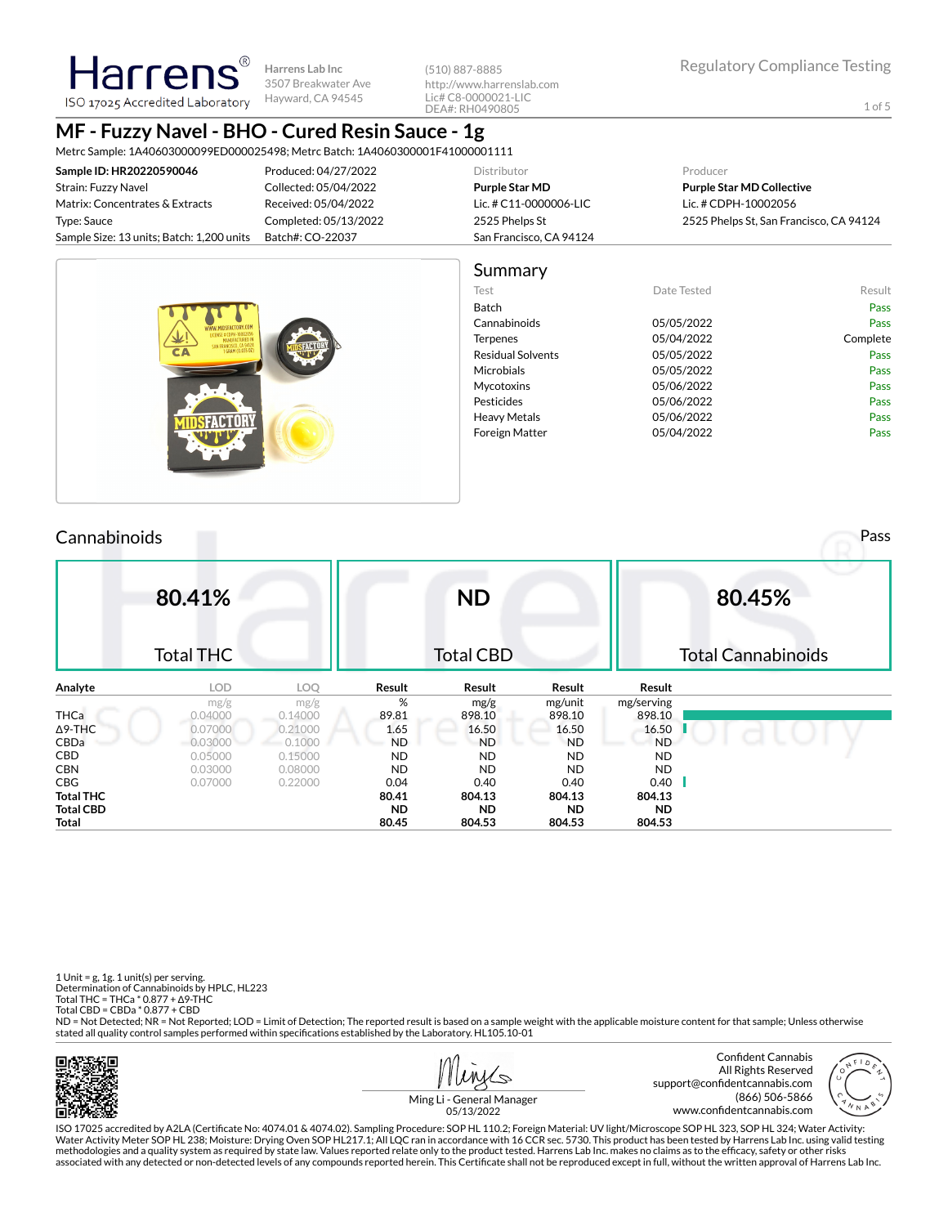**Harrens Lab Inc** 3507 Breakwater Ave Hayward, CA 94545

(510) 887-8885 http://www.harrenslab.com Lic# C8-0000021-LIC DEA#: RH0490805

# **MF - Fuzzy Navel - BHO - Cured Resin Sauce - 1g**

Harrens ISO 17025 Accredited Laboratory

Metrc Sample: 1A40603000099ED000025498; Metrc Batch: 1A4060300001F41000001111

| Sample ID: HR20220590046                  | Produced: 04/27/2022  | <b>Distributor</b>      | Producer                                |  |  |  |  |
|-------------------------------------------|-----------------------|-------------------------|-----------------------------------------|--|--|--|--|
| Strain: Fuzzy Navel                       | Collected: 05/04/2022 | Purple Star MD          | <b>Purple Star MD Collective</b>        |  |  |  |  |
| Matrix: Concentrates & Extracts           | Received: 05/04/2022  | Lic. # C11-0000006-LIC  | Lic. # CDPH-10002056                    |  |  |  |  |
| Type: Sauce                               | Completed: 05/13/2022 | 2525 Phelps St          | 2525 Phelps St, San Francisco, CA 94124 |  |  |  |  |
| Sample Size: 13 units; Batch: 1,200 units | Batch#: CO-22037      | San Francisco, CA 94124 |                                         |  |  |  |  |
|                                           |                       |                         |                                         |  |  |  |  |



# **80.41%**  $T = T + T$ **ND** Total CBD

|             | 10tal I HC |         |           | TOTAL CBD |           |            | Total Cannabinolus |
|-------------|------------|---------|-----------|-----------|-----------|------------|--------------------|
| Analyte     | LOD        | LOQ     | Result    | Result    | Result    | Result     |                    |
|             | mg/g       | mg/g    | %         | mg/g      | mg/unit   | mg/serving |                    |
| <b>THCa</b> | 0.04000    | 0.14000 | 89.81     | 898.10    | 898.10    | 898.10     |                    |
| ∆9-THC      | 0.07000    | 0.21000 | 1.65      | 16.50     | 16.50     | 16.50      |                    |
| CBDa        | $-0.03000$ | 0.1000  | ND.       | <b>ND</b> | <b>ND</b> | <b>ND</b>  |                    |
| CBD         | 0.05000    | 0.15000 | <b>ND</b> | <b>ND</b> | <b>ND</b> | <b>ND</b>  |                    |
| CBN         | 0.03000    | 0.08000 | <b>ND</b> | <b>ND</b> | <b>ND</b> | <b>ND</b>  |                    |
| CBG         | 0.07000    | 0.22000 | 0.04      | 0.40      | 0.40      | 0.40       |                    |
| Total THC   |            |         | 80.41     | 804.13    | 804.13    | 804.13     |                    |
| Total CBD   |            |         | <b>ND</b> | <b>ND</b> | ND.       | <b>ND</b>  |                    |
| Total       |            |         | 80.45     | 804.53    | 804.53    | 804.53     |                    |

1 Unit =  $g$ , 1 $g$ . 1 unit(s) per serving. Determination of Cannabinoids by HPLC, HL223 Total THC = THCa \* 0.877 + ∆9-THC Total CBD = CBDa \* 0.877 + CBD

ND = Not Detected; NR = Not Reported; LOD = Limit of Detection; The reported result is based on a sample weight with the applicable moisture content for that sample; Unless otherwise stated all quality control samples performed within specifications established by the Laboratory. HL105.10-01



حکا



**80.45%**

Total Cannabinoids

Ming Li - General Manager 05/13/2022

ISO 17025 accredited by A2LA (Certicate No: 4074.01 & 4074.02). Sampling Procedure: SOP HL 110.2; Foreign Material: UV light/Microscope SOP HL 323, SOP HL 324; Water Activity: Water Activity Meter SOP HL 238; Moisture: Drying Oven SOP HL217.1; All LQC ran in accordance with 16 CCR sec. 5730. This product has been tested by Harrens Lab Inc. using valid testing methodologies and a quality system as required by state law. Values reported relate only to the product tested. Harrens Lab Inc. makes no claims as to the efficacy, safety or other risks<br>associated with any detected or non

Cannabinoids Pass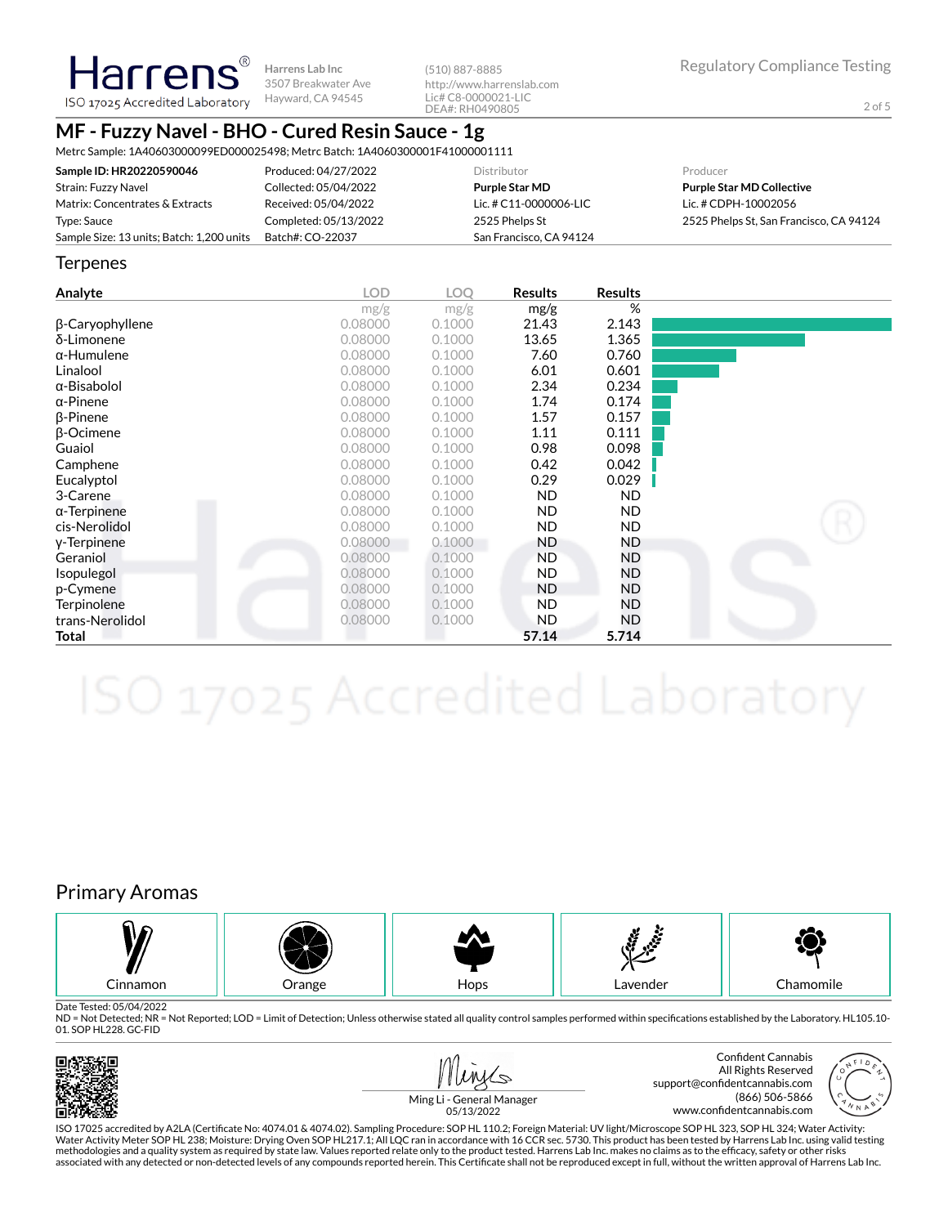Harrens® **Harrens Lab Inc** 3507 Breakwater Ave ISO 17025 Accredited Laboratory Hayward, CA 94545

(510) 887-8885 http://www.harrenslab.com Lic# C8-0000021-LIC DEA#: RH0490805

# **MF - Fuzzy Navel - BHO - Cured Resin Sauce - 1g**

Metrc Sample: 1A40603000099ED000025498; Metrc Batch: 1A4060300001F41000001111

| Sample ID: HR20220590046                  | Produced: 04/27/2022  | <b>Distributor</b>      | Producer                                |
|-------------------------------------------|-----------------------|-------------------------|-----------------------------------------|
| Strain: Fuzzy Navel                       | Collected: 05/04/2022 | <b>Purple Star MD</b>   | <b>Purple Star MD Collective</b>        |
| Matrix: Concentrates & Extracts           | Received: 05/04/2022  | Lic. # C11-0000006-LIC  | Lic. # CDPH-10002056                    |
| Type: Sauce                               | Completed: 05/13/2022 | 2525 Phelps St          | 2525 Phelps St, San Francisco, CA 94124 |
| Sample Size: 13 units; Batch: 1,200 units | Batch#: CO-22037      | San Francisco, CA 94124 |                                         |

#### **Terpenes**

| Analyte             | <b>LOD</b> | LOQ    | <b>Results</b> | <b>Results</b> |  |
|---------------------|------------|--------|----------------|----------------|--|
|                     | mg/g       | mg/g   | mg/g           | %              |  |
| β-Caryophyllene     | 0.08000    | 0.1000 | 21.43          | 2.143          |  |
| δ-Limonene          | 0.08000    | 0.1000 | 13.65          | 1.365          |  |
| $\alpha$ -Humulene  | 0.08000    | 0.1000 | 7.60           | 0.760          |  |
| Linalool            | 0.08000    | 0.1000 | 6.01           | 0.601          |  |
| $\alpha$ -Bisabolol | 0.08000    | 0.1000 | 2.34           | 0.234          |  |
| $\alpha$ -Pinene    | 0.08000    | 0.1000 | 1.74           | 0.174          |  |
| $\beta$ -Pinene     | 0.08000    | 0.1000 | 1.57           | 0.157          |  |
| $\beta$ -Ocimene    | 0.08000    | 0.1000 | 1.11           | 0.111          |  |
| Guaiol              | 0.08000    | 0.1000 | 0.98           | 0.098          |  |
| Camphene            | 0.08000    | 0.1000 | 0.42           | 0.042          |  |
| Eucalyptol          | 0.08000    | 0.1000 | 0.29           | 0.029          |  |
| 3-Carene            | 0.08000    | 0.1000 | <b>ND</b>      | ND.            |  |
| $\alpha$ -Terpinene | 0.08000    | 0.1000 | <b>ND</b>      | ND.            |  |
| cis-Nerolidol       | 0.08000    | 0.1000 | <b>ND</b>      | ND.            |  |
| y-Terpinene         | 0.08000    | 0.1000 | <b>ND</b>      | ND             |  |
| Geraniol            | 0.08000    | 0.1000 | <b>ND</b>      | ND             |  |
| <i>sopulegol</i>    | 0.08000    | 0.1000 | <b>ND</b>      | <b>ND</b>      |  |
| p-Cymene            | 0.08000    | 0.1000 | <b>ND</b>      | ND             |  |
| Terpinolene         | 0.08000    | 0.1000 | ND.            | ND             |  |
| trans-Nerolidol     | 0.08000    | 0.1000 | <b>ND</b>      | ND             |  |
| Total               |            |        | 57.14          | 5.714          |  |

# Primary Aromas



Date Tested: 05/04/2022

ND = Not Detected; NR = Not Reported; LOD = Limit of Detection; Unless otherwise stated all quality control samples performed within specifications established by the Laboratory. HL105.10-01. SOP HL228. GC-FID





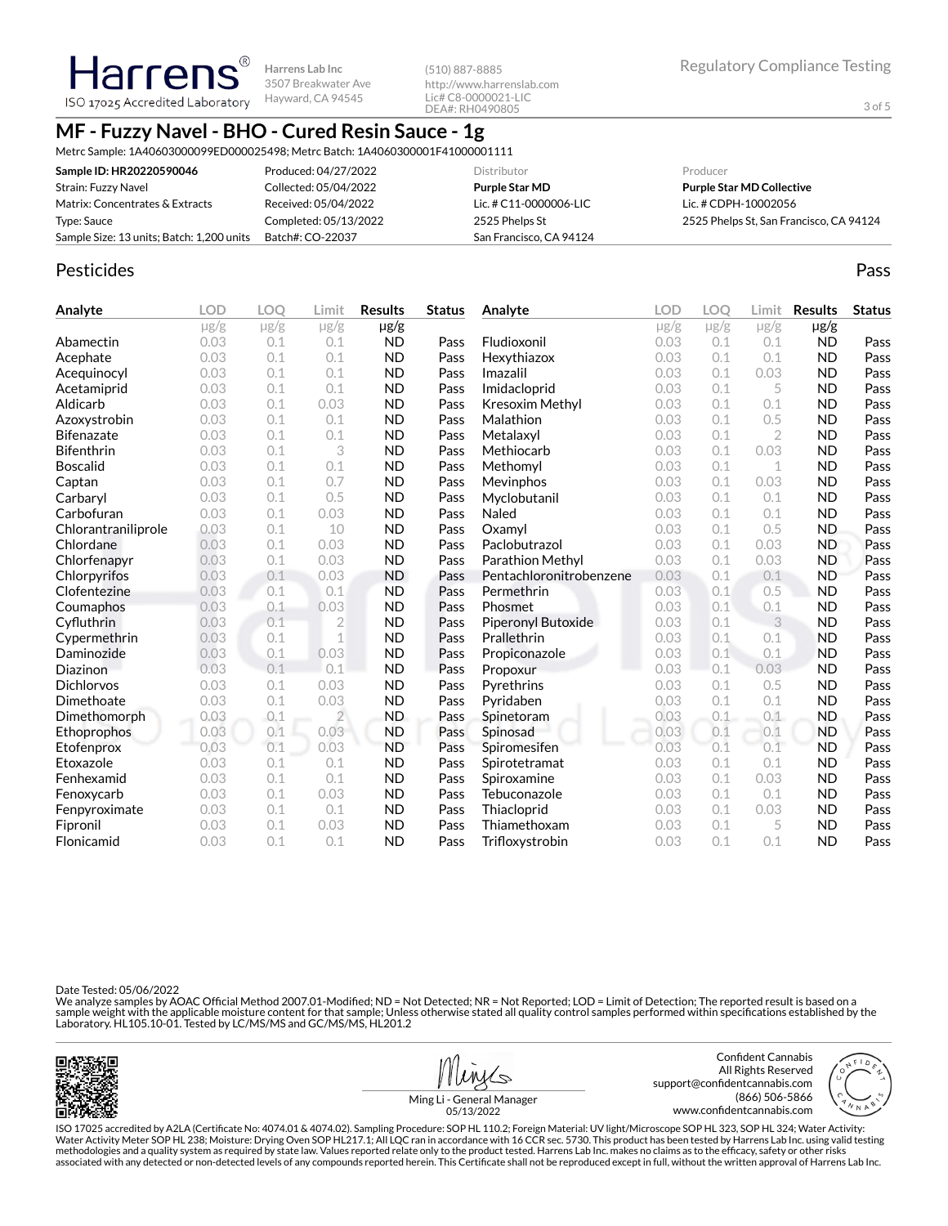**Harrens Harrens Lab Inc** 3507 Breakwater Ave Hayward, CA 94545 ISO 17025 Accredited Laboratory

(510) 887-8885 http://www.harrenslab.com Lic# C8-0000021-LIC DEA#: RH0490805

# **MF - Fuzzy Navel - BHO - Cured Resin Sauce - 1g**

Metrc Sample: 1A40603000099ED000025498; Metrc Batch: 1A4060300001F41000001111

| Sample ID: HR20220590046                  | Produced: 04/27/2022  | <b>Distributor</b>      | Producer                                |
|-------------------------------------------|-----------------------|-------------------------|-----------------------------------------|
| Strain: Fuzzy Navel                       | Collected: 05/04/2022 | Purple Star MD          | <b>Purple Star MD Collective</b>        |
| Matrix: Concentrates & Extracts           | Received: 05/04/2022  | Lic. # C11-0000006-LIC  | Lic. # CDPH-10002056                    |
| Type: Sauce                               | Completed: 05/13/2022 | 2525 Phelps St          | 2525 Phelps St, San Francisco, CA 94124 |
| Sample Size: 13 units; Batch: 1,200 units | Batch#: CO-22037      | San Francisco, CA 94124 |                                         |

### Pesticides **Passage Community Community Community** Passes and the extension of the extension of the extension of the extension of the extension of the extension of the extension of the extension of the extension of the ext

| Analyte             | <b>LOD</b>     | <b>LOO</b> | Limit          | <b>Results</b> | <b>Status</b> | Analyte                 | <b>LOD</b> | <b>LOO</b> | Limit          | <b>Results</b> | <b>Status</b> |
|---------------------|----------------|------------|----------------|----------------|---------------|-------------------------|------------|------------|----------------|----------------|---------------|
|                     | $\mu$ g/g      | $\mu$ g/g  | $\mu$ g/g      | $\mu$ g/g      |               |                         | $\mu$ g/g  | $\mu$ g/g  | $\mu$ g/g      | $\mu$ g/g      |               |
| Abamectin           | 0.03           | 0.1        | 0.1            | <b>ND</b>      | Pass          | Fludioxonil             | 0.03       | 0.1        | 0.1            | <b>ND</b>      | Pass          |
| Acephate            | 0.03           | 0.1        | 0.1            | <b>ND</b>      | Pass          | Hexythiazox             | 0.03       | 0.1        | 0.1            | <b>ND</b>      | Pass          |
| Acequinocyl         | 0.03           | 0.1        | 0.1            | <b>ND</b>      | Pass          | Imazalil                | 0.03       | 0.1        | 0.03           | <b>ND</b>      | Pass          |
| Acetamiprid         | 0.03           | 0.1        | 0.1            | <b>ND</b>      | Pass          | Imidacloprid            | 0.03       | 0.1        | 5              | <b>ND</b>      | Pass          |
| Aldicarb            | 0.03           | 0.1        | 0.03           | <b>ND</b>      | Pass          | Kresoxim Methyl         | 0.03       | 0.1        | 0.1            | <b>ND</b>      | Pass          |
| Azoxystrobin        | 0.03           | 0.1        | 0.1            | <b>ND</b>      | Pass          | Malathion               | 0.03       | 0.1        | 0.5            | <b>ND</b>      | Pass          |
| <b>Bifenazate</b>   | 0.03           | 0.1        | 0.1            | <b>ND</b>      | Pass          | Metalaxyl               | 0.03       | 0.1        | $\overline{2}$ | <b>ND</b>      | Pass          |
| <b>Bifenthrin</b>   | 0.03           | 0.1        | 3              | <b>ND</b>      | Pass          | Methiocarb              | 0.03       | 0.1        | 0.03           | <b>ND</b>      | Pass          |
| <b>Boscalid</b>     | 0.03           | 0.1        | 0.1            | <b>ND</b>      | Pass          | Methomyl                | 0.03       | 0.1        | 1              | <b>ND</b>      | Pass          |
| Captan              | 0.03           | 0.1        | 0.7            | <b>ND</b>      | Pass          | Mevinphos               | 0.03       | 0.1        | 0.03           | <b>ND</b>      | Pass          |
| Carbaryl            | 0.03           | 0.1        | 0.5            | <b>ND</b>      | Pass          | Myclobutanil            | 0.03       | 0.1        | 0.1            | <b>ND</b>      | Pass          |
| Carbofuran          | 0.03           | 0.1        | 0.03           | <b>ND</b>      | Pass          | Naled                   | 0.03       | 0.1        | 0.1            | <b>ND</b>      | Pass          |
| Chlorantraniliprole | 0.03           | 0.1        | 10             | <b>ND</b>      | Pass          | Oxamyl                  | 0.03       | 0.1        | 0.5            | <b>ND</b>      | Pass          |
| Chlordane           | 0.03           | 0.1        | 0.03           | <b>ND</b>      | Pass          | Paclobutrazol           | 0.03       | 0.1        | 0.03           | <b>ND</b>      | Pass          |
| Chlorfenapyr        | 0.03           | 0.1        | 0.03           | <b>ND</b>      | Pass          | Parathion Methyl        | 0.03       | 0.1        | 0.03           | <b>ND</b>      | Pass          |
| Chlorpyrifos        | 0.03           | 0.1        | 0.03           | <b>ND</b>      | Pass          | Pentachloronitrobenzene | 0.03       | 0.1        | 0.1            | <b>ND</b>      | Pass          |
| Clofentezine        | 0.03           | 0.1        | 0.1            | <b>ND</b>      | Pass          | Permethrin              | 0.03       | 0.1        | 0.5            | <b>ND</b>      | Pass          |
| Coumaphos           | 0.03           | 0.1        | 0.03           | <b>ND</b>      | Pass          | Phosmet                 | 0.03       | 0.1        | 0.1            | <b>ND</b>      | Pass          |
| Cyfluthrin          | 0.03           | 0.1        | $\overline{2}$ | <b>ND</b>      | Pass          | Piperonyl Butoxide      | 0.03       | 0.1        | 3              | <b>ND</b>      | Pass          |
| Cypermethrin        | 0.03           | 0.1        | 1              | <b>ND</b>      | Pass          | Prallethrin             | 0.03       | 0.1        | 0.1            | <b>ND</b>      | Pass          |
| Daminozide          | 0.03           | 0.1        | 0.03           | <b>ND</b>      | Pass          | Propiconazole           | 0.03       | 0.1        | 0.1            | <b>ND</b>      | Pass          |
| Diazinon            | 0.03           | 0.1        | 0.1            | <b>ND</b>      | Pass          | Propoxur                | 0.03       | 0.1        | 0.03           | <b>ND</b>      | Pass          |
| <b>Dichlorvos</b>   | 0.03           | 0.1        | 0.03           | <b>ND</b>      | Pass          | Pyrethrins              | 0.03       | 0.1        | 0.5            | <b>ND</b>      | Pass          |
| Dimethoate          | 0.03           | 0.1        | 0.03           | <b>ND</b>      | Pass          | Pyridaben               | 0.03       | 0.1        | 0.1            | <b>ND</b>      | Pass          |
| Dimethomorph        | 0.03<br>and in | 0.1        | $\overline{2}$ | <b>ND</b>      | Pass          | Spinetoram              | 0.03       | 0.1        | 0.1            | <b>ND</b>      | Pass          |
| Ethoprophos         | 0.03           | 0.1        | 0.03           | <b>ND</b>      | Pass          | Spinosad                | 0.03       | 0.1        | 0.1            | <b>ND</b>      | Pass          |
| Etofenprox          | 0.03           | 0.1        | 0.03           | <b>ND</b>      | Pass          | Spiromesifen            | 0.03       | 0.1        | 0.1            | <b>ND</b>      | Pass          |
| Etoxazole           | 0.03           | 0.1        | 0.1            | <b>ND</b>      | Pass          | Spirotetramat           | 0.03       | 0.1        | 0.1            | <b>ND</b>      | Pass          |
| Fenhexamid          | 0.03           | 0.1        | 0.1            | <b>ND</b>      | Pass          | Spiroxamine             | 0.03       | 0.1        | 0.03           | <b>ND</b>      | Pass          |
| Fenoxycarb          | 0.03           | 0.1        | 0.03           | <b>ND</b>      | Pass          | Tebuconazole            | 0.03       | 0.1        | 0.1            | <b>ND</b>      | Pass          |
| Fenpyroximate       | 0.03           | 0.1        | 0.1            | <b>ND</b>      | Pass          | Thiacloprid             | 0.03       | 0.1        | 0.03           | <b>ND</b>      | Pass          |
| Fipronil            | 0.03           | 0.1        | 0.03           | <b>ND</b>      | Pass          | Thiamethoxam            | 0.03       | 0.1        | 5              | <b>ND</b>      | Pass          |
| Flonicamid          | 0.03           | 0.1        | 0.1            | <b>ND</b>      | Pass          | Trifloxystrobin         | 0.03       | 0.1        | 0.1            | <b>ND</b>      | Pass          |

Date Tested: 05/06/2022

We analyze samples by AOAC Official Method 2007.01-Modified; ND = Not Detected; NR = Not Reported; LOD = Limit of Detection; The reported result is based on a sample weight with the applicable moisture content for that sample; Unless otherwise stated all quality control samples performed within specifications established by the<br>Laboratory. HL105.10-01. Tested by LC/MS/MS and GC/





Ming Li - General Manager 05/13/2022

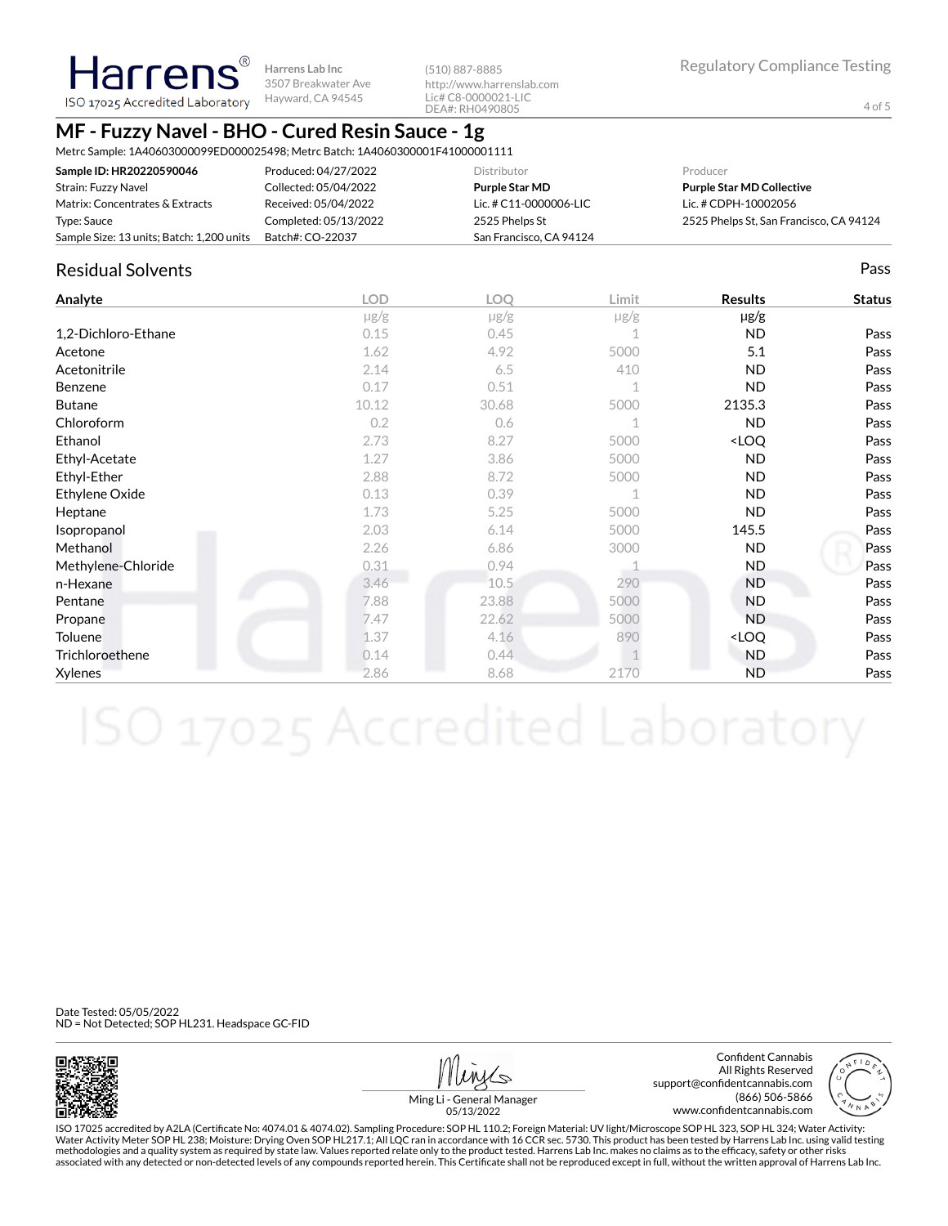**Harrens Lab Inc** 3507 Breakwater Ave ISO 17025 Accredited Laboratory Hayward, CA 94545

(510) 887-8885 http://www.harrenslab.com Lic# C8-0000021-LIC DEA#: RH0490805

# **MF - Fuzzy Navel - BHO - Cured Resin Sauce - 1g**

Metrc Sample: 1A40603000099ED000025498; Metrc Batch: 1A4060300001F41000001111

| Sample ID: HR20220590046                  | Produced: 04/27/2022  | <b>Distributor</b>       | Producer                                |
|-------------------------------------------|-----------------------|--------------------------|-----------------------------------------|
| Strain: Fuzzy Navel                       | Collected: 05/04/2022 | Purple Star MD           | <b>Purple Star MD Collective</b>        |
| Matrix: Concentrates & Extracts           | Received: 05/04/2022  | Lic. # $C11-0000006-LLC$ | Lic. # CDPH-10002056                    |
| Type: Sauce                               | Completed: 05/13/2022 | 2525 Phelps St           | 2525 Phelps St, San Francisco, CA 94124 |
| Sample Size: 13 units; Batch: 1,200 units | Batch#: CO-22037      | San Francisco, CA 94124  |                                         |

### Residual Solvents Pass

Harrens®

| Analyte             | <b>LOD</b> | <b>LOQ</b> | Limit       | <b>Results</b>                   | <b>Status</b> |
|---------------------|------------|------------|-------------|----------------------------------|---------------|
|                     | $\mu$ g/g  | $\mu$ g/g  | $\mu$ g/g   | $\mu$ g/g                        |               |
| 1,2-Dichloro-Ethane | 0.15       | 0.45       |             | <b>ND</b>                        | Pass          |
| Acetone             | 1.62       | 4.92       | 5000        | 5.1                              | Pass          |
| Acetonitrile        | 2.14       | 6.5        | 410         | <b>ND</b>                        | Pass          |
| <b>Benzene</b>      | 0.17       | 0.51       | $\mathbf 1$ | <b>ND</b>                        | Pass          |
| <b>Butane</b>       | 10.12      | 30.68      | 5000        | 2135.3                           | Pass          |
| Chloroform          | 0.2        | 0.6        |             | <b>ND</b>                        | Pass          |
| Ethanol             | 2.73       | 8.27       | 5000        | <loq< td=""><td>Pass</td></loq<> | Pass          |
| Ethyl-Acetate       | 1.27       | 3.86       | 5000        | <b>ND</b>                        | Pass          |
| Ethyl-Ether         | 2.88       | 8.72       | 5000        | <b>ND</b>                        | Pass          |
| Ethylene Oxide      | 0.13       | 0.39       | $\mathbf 1$ | ND.                              | Pass          |
| Heptane             | 1.73       | 5.25       | 5000        | <b>ND</b>                        | Pass          |
| Isopropanol         | 2.03       | 6.14       | 5000        | 145.5                            | Pass          |
| Methanol            | 2.26       | 6.86       | 3000        | <b>ND</b>                        | Pass          |
| Methylene-Chloride  | 0.31       | 0.94       |             | ND.                              | Pass          |
| n-Hexane            | 3.46       | 10.5       | 290         | <b>ND</b>                        | Pass          |
| Pentane             | 7.88       | 23.88      | 5000        | <b>ND</b>                        | Pass          |
| Propane             | 7.47       | 22.62      | 5000        | <b>ND</b>                        | Pass          |
| Toluene             | 1.37       | 4.16       | 890         | <loq< td=""><td>Pass</td></loq<> | Pass          |
| Trichloroethene     | 0.14       | 0.44       |             | <b>ND</b>                        | Pass          |
| Xylenes             | 2.86       | 8.68       | 2170        | <b>ND</b>                        | Pass          |

Date Tested: 05/05/2022 ND = Not Detected; SOP HL231. Headspace GC-FID



Confident Cannabis All Rights Reserved support@confidentcannabis.com (866) 506-5866 www.confidentcannabis.com



Ming Li - General Manager 05/13/2022